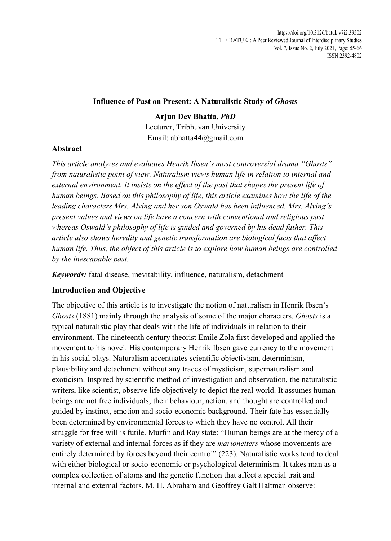## **Influence of Past on Present: A Naturalistic Study of** *Ghosts*

# **Arjun Dev Bhatta,** *PhD*

Lecturer, Tribhuvan University Email: abhatta44@gmail.com

## **Abstract**

*This article analyzes and evaluates Henrik Ibsen's most controversial drama "Ghosts" from naturalistic point of view. Naturalism views human life in relation to internal and external environment. It insists on the effect of the past that shapes the present life of human beings. Based on this philosophy of life, this article examines how the life of the leading characters Mrs. Alving and her son Oswald has been influenced. Mrs. Alving's present values and views on life have a concern with conventional and religious past whereas Oswald's philosophy of life is guided and governed by his dead father. This article also shows heredity and genetic transformation are biological facts that affect human life. Thus, the object of this article is to explore how human beings are controlled by the inescapable past.* 

*Keywords:* fatal disease, inevitability, influence, naturalism, detachment

## **Introduction and Objective**

The objective of this article is to investigate the notion of naturalism in Henrik Ibsen's *Ghosts* (1881) mainly through the analysis of some of the major characters. *Ghosts* is a typical naturalistic play that deals with the life of individuals in relation to their environment. The nineteenth century theorist Emile Zola first developed and applied the movement to his novel. His contemporary Henrik Ibsen gave currency to the movement in his social plays. Naturalism accentuates scientific objectivism, determinism, plausibility and detachment without any traces of mysticism, supernaturalism and exoticism. Inspired by scientific method of investigation and observation, the naturalistic writers, like scientist, observe life objectively to depict the real world. It assumes human beings are not free individuals; their behaviour, action, and thought are controlled and guided by instinct, emotion and socio-economic background. Their fate has essentially been determined by environmental forces to which they have no control. All their struggle for free will is futile. Murfin and Ray state: "Human beings are at the mercy of a variety of external and internal forces as if they are *marionetters* whose movements are entirely determined by forces beyond their control" (223). Naturalistic works tend to deal with either biological or socio-economic or psychological determinism. It takes man as a complex collection of atoms and the genetic function that affect a special trait and internal and external factors. M. H. Abraham and Geoffrey Galt Haltman observe: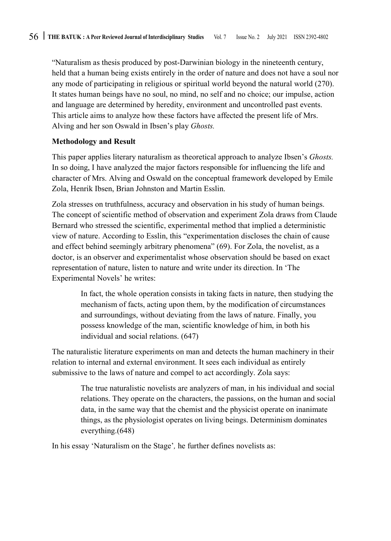"Naturalism as thesis produced by post-Darwinian biology in the nineteenth century, held that a human being exists entirely in the order of nature and does not have a soul nor any mode of participating in religious or spiritual world beyond the natural world (270). It states human beings have no soul, no mind, no self and no choice; our impulse, action and language are determined by heredity, environment and uncontrolled past events. This article aims to analyze how these factors have affected the present life of Mrs. Alving and her son Oswald in Ibsen's play *Ghosts.*

#### **Methodology and Result**

This paper applies literary naturalism as theoretical approach to analyze Ibsen's *Ghosts.*  In so doing, I have analyzed the major factors responsible for influencing the life and character of Mrs. Alving and Oswald on the conceptual framework developed by Emile Zola, Henrik Ibsen, Brian Johnston and Martin Esslin.

Zola stresses on truthfulness, accuracy and observation in his study of human beings. The concept of scientific method of observation and experiment Zola draws from Claude Bernard who stressed the scientific, experimental method that implied a deterministic view of nature. According to Esslin, this "experimentation discloses the chain of cause and effect behind seemingly arbitrary phenomena" (69). For Zola, the novelist, as a doctor, is an observer and experimentalist whose observation should be based on exact representation of nature, listen to nature and write under its direction. In 'The Experimental Novels' he writes:

> In fact, the whole operation consists in taking facts in nature, then studying the mechanism of facts, acting upon them, by the modification of circumstances and surroundings, without deviating from the laws of nature. Finally, you possess knowledge of the man, scientific knowledge of him, in both his individual and social relations. (647)

The naturalistic literature experiments on man and detects the human machinery in their relation to internal and external environment. It sees each individual as entirely submissive to the laws of nature and compel to act accordingly. Zola says:

> The true naturalistic novelists are analyzers of man, in his individual and social relations. They operate on the characters, the passions, on the human and social data, in the same way that the chemist and the physicist operate on inanimate things, as the physiologist operates on living beings. Determinism dominates everything.(648)

In his essay 'Naturalism on the Stage'*,* he further defines novelists as: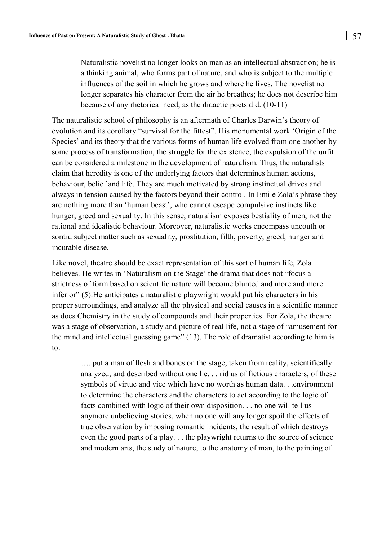Naturalistic novelist no longer looks on man as an intellectual abstraction; he is a thinking animal, who forms part of nature, and who is subject to the multiple influences of the soil in which he grows and where he lives. The novelist no longer separates his character from the air he breathes; he does not describe him because of any rhetorical need, as the didactic poets did. (10-11)

The naturalistic school of philosophy is an aftermath of Charles Darwin's theory of evolution and its corollary "survival for the fittest". His monumental work 'Origin of the Species' and its theory that the various forms of human life evolved from one another by some process of transformation, the struggle for the existence, the expulsion of the unfit can be considered a milestone in the development of naturalism. Thus, the naturalists claim that heredity is one of the underlying factors that determines human actions, behaviour, belief and life. They are much motivated by strong instinctual drives and always in tension caused by the factors beyond their control. In Emile Zola's phrase they are nothing more than 'human beast', who cannot escape compulsive instincts like hunger, greed and sexuality. In this sense, naturalism exposes bestiality of men, not the rational and idealistic behaviour. Moreover, naturalistic works encompass uncouth or sordid subject matter such as sexuality, prostitution, filth, poverty, greed, hunger and incurable disease.

Like novel, theatre should be exact representation of this sort of human life, Zola believes. He writes in 'Naturalism on the Stage' the drama that does not "focus a strictness of form based on scientific nature will become blunted and more and more inferior" (5).He anticipates a naturalistic playwright would put his characters in his proper surroundings, and analyze all the physical and social causes in a scientific manner as does Chemistry in the study of compounds and their properties. For Zola, the theatre was a stage of observation, a study and picture of real life, not a stage of "amusement for the mind and intellectual guessing game" (13). The role of dramatist according to him is to:

…. put a man of flesh and bones on the stage, taken from reality, scientifically analyzed, and described without one lie. . . rid us of fictious characters, of these symbols of virtue and vice which have no worth as human data. . .environment to determine the characters and the characters to act according to the logic of facts combined with logic of their own disposition. . . no one will tell us anymore unbelieving stories, when no one will any longer spoil the effects of true observation by imposing romantic incidents, the result of which destroys even the good parts of a play. . . the playwright returns to the source of science and modern arts, the study of nature, to the anatomy of man, to the painting of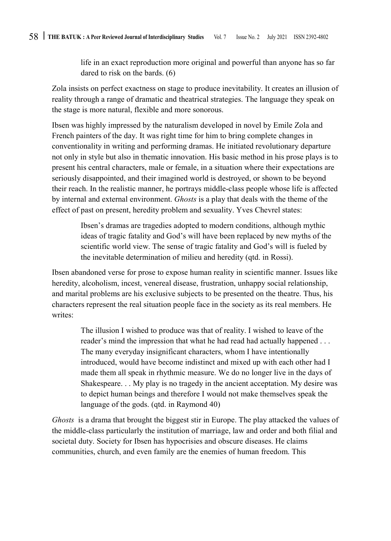life in an exact reproduction more original and powerful than anyone has so far dared to risk on the bards. (6)

Zola insists on perfect exactness on stage to produce inevitability. It creates an illusion of reality through a range of dramatic and theatrical strategies. The language they speak on the stage is more natural, flexible and more sonorous.

Ibsen was highly impressed by the naturalism developed in novel by Emile Zola and French painters of the day. It was right time for him to bring complete changes in conventionality in writing and performing dramas. He initiated revolutionary departure not only in style but also in thematic innovation. His basic method in his prose plays is to present his central characters, male or female, in a situation where their expectations are seriously disappointed, and their imagined world is destroyed, or shown to be beyond their reach. In the realistic manner, he portrays middle-class people whose life is affected by internal and external environment. *Ghosts* is a play that deals with the theme of the effect of past on present, heredity problem and sexuality. Yves Chevrel states:

Ibsen's dramas are tragedies adopted to modern conditions, although mythic ideas of tragic fatality and God's will have been replaced by new myths of the scientific world view. The sense of tragic fatality and God's will is fueled by the inevitable determination of milieu and heredity (qtd. in Rossi).

Ibsen abandoned verse for prose to expose human reality in scientific manner. Issues like heredity, alcoholism, incest, venereal disease, frustration, unhappy social relationship, and marital problems are his exclusive subjects to be presented on the theatre. Thus, his characters represent the real situation people face in the society as its real members. He writes:

> The illusion I wished to produce was that of reality. I wished to leave of the reader's mind the impression that what he had read had actually happened . . . The many everyday insignificant characters, whom I have intentionally introduced, would have become indistinct and mixed up with each other had I made them all speak in rhythmic measure. We do no longer live in the days of Shakespeare. . . My play is no tragedy in the ancient acceptation. My desire was to depict human beings and therefore I would not make themselves speak the language of the gods. (qtd. in Raymond 40)

*Ghosts* is a drama that brought the biggest stir in Europe. The play attacked the values of the middle-class particularly the institution of marriage, law and order and both filial and societal duty. Society for Ibsen has hypocrisies and obscure diseases. He claims communities, church, and even family are the enemies of human freedom. This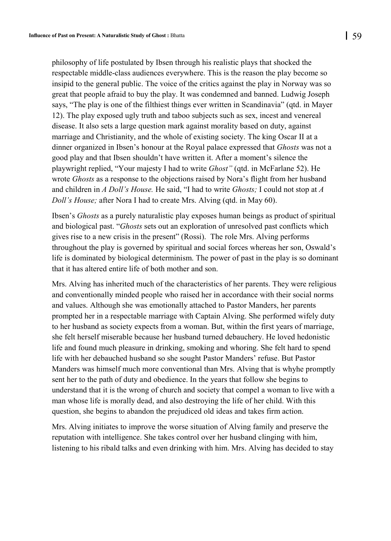philosophy of life postulated by Ibsen through his realistic plays that shocked the respectable middle-class audiences everywhere. This is the reason the play become so insipid to the general public. The voice of the critics against the play in Norway was so great that people afraid to buy the play. It was condemned and banned. Ludwig Joseph says, "The play is one of the filthiest things ever written in Scandinavia" (qtd. in Mayer 12). The play exposed ugly truth and taboo subjects such as sex, incest and venereal disease. It also sets a large question mark against morality based on duty, against marriage and Christianity, and the whole of existing society. The king Oscar II at a dinner organized in Ibsen's honour at the Royal palace expressed that *Ghosts* was not a good play and that Ibsen shouldn't have written it. After a moment's silence the playwright replied, "Your majesty I had to write *Ghost"* (qtd. in McFarlane 52). He wrote *Ghosts* as a response to the objections raised by Nora's flight from her husband and children in *A Doll's House.* He said, "I had to write *Ghosts;* I could not stop at *A Doll's House;* after Nora I had to create Mrs. Alving (qtd. in May 60).

Ibsen's *Ghosts* as a purely naturalistic play exposes human beings as product of spiritual and biological past. "*Ghosts* sets out an exploration of unresolved past conflicts which gives rise to a new crisis in the present" (Rossi). The role Mrs. Alving performs throughout the play is governed by spiritual and social forces whereas her son, Oswald's life is dominated by biological determinism. The power of past in the play is so dominant that it has altered entire life of both mother and son.

Mrs. Alving has inherited much of the characteristics of her parents. They were religious and conventionally minded people who raised her in accordance with their social norms and values. Although she was emotionally attached to Pastor Manders, her parents prompted her in a respectable marriage with Captain Alving. She performed wifely duty to her husband as society expects from a woman. But, within the first years of marriage, she felt herself miserable because her husband turned debauchery. He loved hedonistic life and found much pleasure in drinking, smoking and whoring. She felt hard to spend life with her debauched husband so she sought Pastor Manders' refuse. But Pastor Manders was himself much more conventional than Mrs. Alving that is whyhe promptly sent her to the path of duty and obedience. In the years that follow she begins to understand that it is the wrong of church and society that compel a woman to live with a man whose life is morally dead, and also destroying the life of her child. With this question, she begins to abandon the prejudiced old ideas and takes firm action.

Mrs. Alving initiates to improve the worse situation of Alving family and preserve the reputation with intelligence. She takes control over her husband clinging with him, listening to his ribald talks and even drinking with him. Mrs. Alving has decided to stay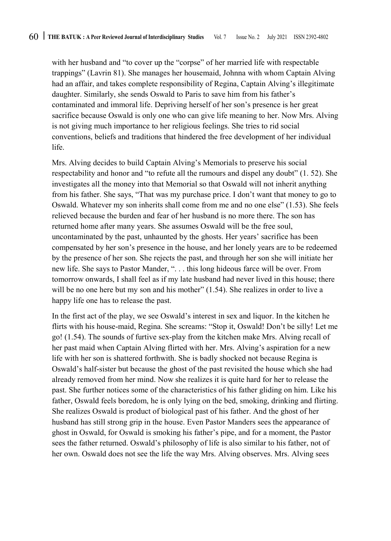with her husband and "to cover up the "corpse" of her married life with respectable trappings" (Lavrin 81). She manages her housemaid, Johnna with whom Captain Alving had an affair, and takes complete responsibility of Regina, Captain Alving's illegitimate daughter. Similarly, she sends Oswald to Paris to save him from his father's contaminated and immoral life. Depriving herself of her son's presence is her great sacrifice because Oswald is only one who can give life meaning to her. Now Mrs. Alving is not giving much importance to her religious feelings. She tries to rid social conventions, beliefs and traditions that hindered the free development of her individual life.

Mrs. Alving decides to build Captain Alving's Memorials to preserve his social respectability and honor and "to refute all the rumours and dispel any doubt" (1. 52). She investigates all the money into that Memorial so that Oswald will not inherit anything from his father. She says, "That was my purchase price. I don't want that money to go to Oswald. Whatever my son inherits shall come from me and no one else" (1.53). She feels relieved because the burden and fear of her husband is no more there. The son has returned home after many years. She assumes Oswald will be the free soul, uncontaminated by the past, unhaunted by the ghosts. Her years' sacrifice has been compensated by her son's presence in the house, and her lonely years are to be redeemed by the presence of her son. She rejects the past, and through her son she will initiate her new life. She says to Pastor Mander, ". . . this long hideous farce will be over. From tomorrow onwards, I shall feel as if my late husband had never lived in this house; there will be no one here but my son and his mother" (1.54). She realizes in order to live a happy life one has to release the past.

In the first act of the play, we see Oswald's interest in sex and liquor. In the kitchen he flirts with his house-maid, Regina. She screams: "Stop it, Oswald! Don't be silly! Let me go! (1.54). The sounds of furtive sex-play from the kitchen make Mrs. Alving recall of her past maid when Captain Alving flirted with her. Mrs. Alving's aspiration for a new life with her son is shattered forthwith. She is badly shocked not because Regina is Oswald's half-sister but because the ghost of the past revisited the house which she had already removed from her mind. Now she realizes it is quite hard for her to release the past. She further notices some of the characteristics of his father gliding on him. Like his father, Oswald feels boredom, he is only lying on the bed, smoking, drinking and flirting. She realizes Oswald is product of biological past of his father. And the ghost of her husband has still strong grip in the house. Even Pastor Manders sees the appearance of ghost in Oswald, for Oswald is smoking his father's pipe, and for a moment, the Pastor sees the father returned. Oswald's philosophy of life is also similar to his father, not of her own. Oswald does not see the life the way Mrs. Alving observes. Mrs. Alving sees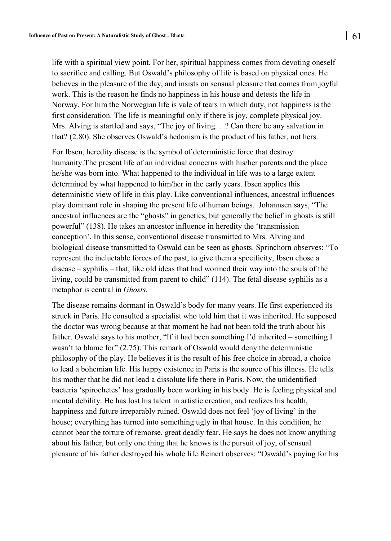life with a spiritual view point. For her, spiritual happiness comes from devoting oneself to sacrifice and calling. But Oswald's philosophy of life is based on physical ones. He believes in the pleasure of the day, and insists on sensual pleasure that comes from joyful work. This is the reason he finds no happiness in his house and detests the life in Norway. For him the Norwegian life is vale of tears in which duty, not happiness is the first consideration. The life is meaningful only if there is joy, complete physical joy. Mrs. Alving is startled and says, "The joy of living. . .? Can there be any salvation in that? (2.80). She observes Oswald's hedonism is the product of his father, not hers.

For Ibsen, heredity disease is the symbol of deterministic force that destroy humanity.The present life of an individual concerns with his/her parents and the place he/she was born into. What happened to the individual in life was to a large extent determined by what happened to him/her in the early years. Ibsen applies this deterministic view of life in this play. Like conventional influences, ancestral influences play dominant role in shaping the present life of human beings. Johannsen says, "The ancestral influences are the "ghosts" in genetics, but generally the belief in ghosts is still powerful" (138). He takes an ancestor influence in heredity the 'transmission conception'. In this sense, conventional disease transmitted to Mrs. Alving and biological disease transmitted to Oswald can be seen as ghosts. Sprinchorn observes: "To represent the ineluctable forces of the past, to give them a specificity, Ibsen chose a disease – syphilis – that, like old ideas that had wormed their way into the souls of the living, could be transmitted from parent to child" (114). The fetal disease syphilis as a metaphor is central in *Ghosts.*

The disease remains dormant in Oswald's body for many years. He first experienced its struck in Paris. He consulted a specialist who told him that it was inherited. He supposed the doctor was wrong because at that moment he had not been told the truth about his father. Oswald says to his mother, "If it had been something I'd inherited – something I wasn't to blame for" (2.75). This remark of Oswald would deny the deterministic philosophy of the play. He believes it is the result of his free choice in abroad, a choice to lead a bohemian life. His happy existence in Paris is the source of his illness. He tells his mother that he did not lead a dissolute life there in Paris. Now, the unidentified bacteria 'spirochetes' has gradually been working in his body. He is feeling physical and mental debility. He has lost his talent in artistic creation, and realizes his health, happiness and future irreparably ruined. Oswald does not feel 'joy of living' in the house; everything has turned into something ugly in that house. In this condition, he cannot bear the torture of remorse, great deadly fear. He says he does not know anything about his father, but only one thing that he knows is the pursuit of joy, of sensual pleasure of his father destroyed his whole life.Reinert observes: "Oswald's paying for his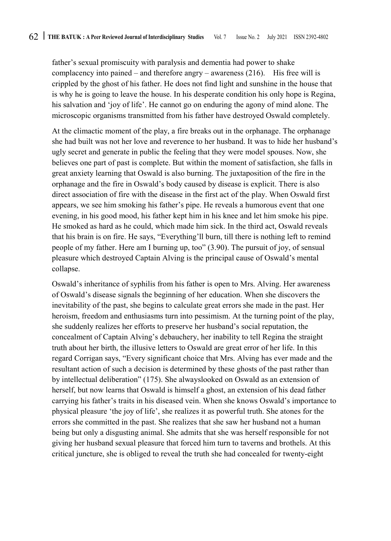father's sexual promiscuity with paralysis and dementia had power to shake complacency into pained – and therefore angry – awareness  $(216)$ . His free will is crippled by the ghost of his father. He does not find light and sunshine in the house that is why he is going to leave the house. In his desperate condition his only hope is Regina, his salvation and 'joy of life'. He cannot go on enduring the agony of mind alone. The microscopic organisms transmitted from his father have destroyed Oswald completely.

At the climactic moment of the play, a fire breaks out in the orphanage. The orphanage she had built was not her love and reverence to her husband. It was to hide her husband's ugly secret and generate in public the feeling that they were model spouses. Now, she believes one part of past is complete. But within the moment of satisfaction, she falls in great anxiety learning that Oswald is also burning. The juxtaposition of the fire in the orphanage and the fire in Oswald's body caused by disease is explicit. There is also direct association of fire with the disease in the first act of the play. When Oswald first appears, we see him smoking his father's pipe. He reveals a humorous event that one evening, in his good mood, his father kept him in his knee and let him smoke his pipe. He smoked as hard as he could, which made him sick. In the third act, Oswald reveals that his brain is on fire. He says, "Everything'll burn, till there is nothing left to remind people of my father. Here am I burning up, too" (3.90). The pursuit of joy, of sensual pleasure which destroyed Captain Alving is the principal cause of Oswald's mental collapse.

Oswald's inheritance of syphilis from his father is open to Mrs. Alving. Her awareness of Oswald's disease signals the beginning of her education. When she discovers the inevitability of the past, she begins to calculate great errors she made in the past. Her heroism, freedom and enthusiasms turn into pessimism. At the turning point of the play, she suddenly realizes her efforts to preserve her husband's social reputation, the concealment of Captain Alving's debauchery, her inability to tell Regina the straight truth about her birth, the illusive letters to Oswald are great error of her life. In this regard Corrigan says, "Every significant choice that Mrs. Alving has ever made and the resultant action of such a decision is determined by these ghosts of the past rather than by intellectual deliberation" (175). She alwayslooked on Oswald as an extension of herself, but now learns that Oswald is himself a ghost, an extension of his dead father carrying his father's traits in his diseased vein. When she knows Oswald's importance to physical pleasure 'the joy of life', she realizes it as powerful truth. She atones for the errors she committed in the past. She realizes that she saw her husband not a human being but only a disgusting animal. She admits that she was herself responsible for not giving her husband sexual pleasure that forced him turn to taverns and brothels. At this critical juncture, she is obliged to reveal the truth she had concealed for twenty-eight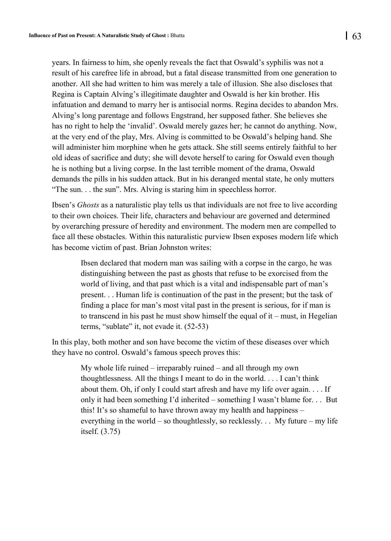years. In fairness to him, she openly reveals the fact that Oswald's syphilis was not a result of his carefree life in abroad, but a fatal disease transmitted from one generation to another. All she had written to him was merely a tale of illusion. She also discloses that Regina is Captain Alving's illegitimate daughter and Oswald is her kin brother. His infatuation and demand to marry her is antisocial norms. Regina decides to abandon Mrs. Alving's long parentage and follows Engstrand, her supposed father. She believes she has no right to help the 'invalid'. Oswald merely gazes her; he cannot do anything. Now, at the very end of the play, Mrs. Alving is committed to be Oswald's helping hand. She will administer him morphine when he gets attack. She still seems entirely faithful to her old ideas of sacrifice and duty; she will devote herself to caring for Oswald even though he is nothing but a living corpse. In the last terrible moment of the drama, Oswald demands the pills in his sudden attack. But in his deranged mental state, he only mutters "The sun. . . the sun". Mrs. Alving is staring him in speechless horror.

Ibsen's *Ghosts* as a naturalistic play tells us that individuals are not free to live according to their own choices. Their life, characters and behaviour are governed and determined by overarching pressure of heredity and environment. The modern men are compelled to face all these obstacles. Within this naturalistic purview Ibsen exposes modern life which has become victim of past. Brian Johnston writes:

Ibsen declared that modern man was sailing with a corpse in the cargo, he was distinguishing between the past as ghosts that refuse to be exorcised from the world of living, and that past which is a vital and indispensable part of man's present. . . Human life is continuation of the past in the present; but the task of finding a place for man's most vital past in the present is serious, for if man is to transcend in his past he must show himself the equal of it – must, in Hegelian terms, "sublate" it, not evade it. (52-53)

In this play, both mother and son have become the victim of these diseases over which they have no control. Oswald's famous speech proves this:

> My whole life ruined – irreparably ruined – and all through my own thoughtlessness. All the things I meant to do in the world. . . . I can't think about them. Oh, if only I could start afresh and have my life over again. . . . If only it had been something I'd inherited – something I wasn't blame for. . . But this! It's so shameful to have thrown away my health and happiness – everything in the world – so thoughtlessly, so recklessly.  $\ldots$  My future – my life itself. (3.75)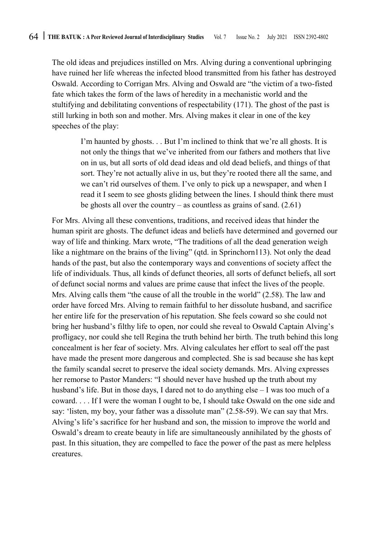The old ideas and prejudices instilled on Mrs. Alving during a conventional upbringing have ruined her life whereas the infected blood transmitted from his father has destroyed Oswald. According to Corrigan Mrs. Alving and Oswald are "the victim of a two-fisted fate which takes the form of the laws of heredity in a mechanistic world and the stultifying and debilitating conventions of respectability (171). The ghost of the past is still lurking in both son and mother. Mrs. Alving makes it clear in one of the key speeches of the play:

> I'm haunted by ghosts. . . But I'm inclined to think that we're all ghosts. It is not only the things that we've inherited from our fathers and mothers that live on in us, but all sorts of old dead ideas and old dead beliefs, and things of that sort. They're not actually alive in us, but they're rooted there all the same, and we can't rid ourselves of them. I've only to pick up a newspaper, and when I read it I seem to see ghosts gliding between the lines. I should think there must be ghosts all over the country – as countless as grains of sand.  $(2.61)$

For Mrs. Alving all these conventions, traditions, and received ideas that hinder the human spirit are ghosts. The defunct ideas and beliefs have determined and governed our way of life and thinking. Marx wrote, "The traditions of all the dead generation weigh like a nightmare on the brains of the living" (qtd. in Sprinchorn113). Not only the dead hands of the past, but also the contemporary ways and conventions of society affect the life of individuals. Thus, all kinds of defunct theories, all sorts of defunct beliefs, all sort of defunct social norms and values are prime cause that infect the lives of the people. Mrs. Alving calls them "the cause of all the trouble in the world" (2.58). The law and order have forced Mrs. Alving to remain faithful to her dissolute husband, and sacrifice her entire life for the preservation of his reputation. She feels coward so she could not bring her husband's filthy life to open, nor could she reveal to Oswald Captain Alving's profligacy, nor could she tell Regina the truth behind her birth. The truth behind this long concealment is her fear of society. Mrs. Alving calculates her effort to seal off the past have made the present more dangerous and complected. She is sad because she has kept the family scandal secret to preserve the ideal society demands. Mrs. Alving expresses her remorse to Pastor Manders: "I should never have hushed up the truth about my husband's life. But in those days, I dared not to do anything else – I was too much of a coward. . . . If I were the woman I ought to be, I should take Oswald on the one side and say: 'listen, my boy, your father was a dissolute man" (2.58-59). We can say that Mrs. Alving's life's sacrifice for her husband and son, the mission to improve the world and Oswald's dream to create beauty in life are simultaneously annihilated by the ghosts of past. In this situation, they are compelled to face the power of the past as mere helpless creatures.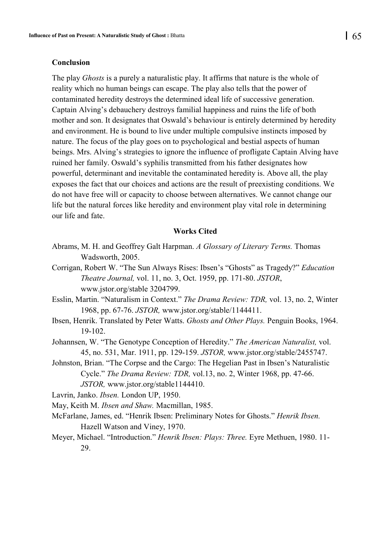#### **Conclusion**

The play *Ghosts* is a purely a naturalistic play. It affirms that nature is the whole of reality which no human beings can escape. The play also tells that the power of contaminated heredity destroys the determined ideal life of successive generation. Captain Alving's debauchery destroys familial happiness and ruins the life of both mother and son. It designates that Oswald's behaviour is entirely determined by heredity and environment. He is bound to live under multiple compulsive instincts imposed by nature. The focus of the play goes on to psychological and bestial aspects of human beings. Mrs. Alving's strategies to ignore the influence of profligate Captain Alving have ruined her family. Oswald's syphilis transmitted from his father designates how powerful, determinant and inevitable the contaminated heredity is. Above all, the play exposes the fact that our choices and actions are the result of preexisting conditions. We do not have free will or capacity to choose between alternatives. We cannot change our life but the natural forces like heredity and environment play vital role in determining our life and fate.

#### **Works Cited**

- Abrams, M. H. and Geoffrey Galt Harpman. *A Glossary of Literary Terms.* Thomas Wadsworth, 2005.
- Corrigan, Robert W. "The Sun Always Rises: Ibsen's "Ghosts" as Tragedy?" *Education Theatre Journal,* vol. 11, no. 3, Oct. 1959, pp. 171-80. *JSTOR*, www.jstor.org/stable 3204799.
- Esslin, Martin. "Naturalism in Context." *The Drama Review: TDR,* vol. 13, no. 2, Winter 1968, pp. 67-76. *JSTOR,* www.jstor.org/stable/1144411.
- Ibsen, Henrik. Translated by Peter Watts. *Ghosts and Other Plays.* Penguin Books, 1964. 19-102.
- Johannsen, W. "The Genotype Conception of Heredity." *The American Naturalist,* vol. 45, no. 531, Mar. 1911, pp. 129-159. *JSTOR,* www.jstor.org/stable/2455747.
- Johnston, Brian. "The Corpse and the Cargo: The Hegelian Past in Ibsen's Naturalistic Cycle." *The Drama Review: TDR,* vol.13, no. 2, Winter 1968, pp. 47-66. *JSTOR,* www.jstor.org/stable1144410.

Lavrin, Janko. *Ibsen.* London UP, 1950.

May, Keith M. *Ibsen and Shaw.* Macmillan, 1985.

- McFarlane, James, ed. "Henrik Ibsen: Preliminary Notes for Ghosts." *Henrik Ibsen.*  Hazell Watson and Viney, 1970.
- Meyer, Michael. "Introduction." *Henrik Ibsen: Plays: Three.* Eyre Methuen, 1980. 11- 29.